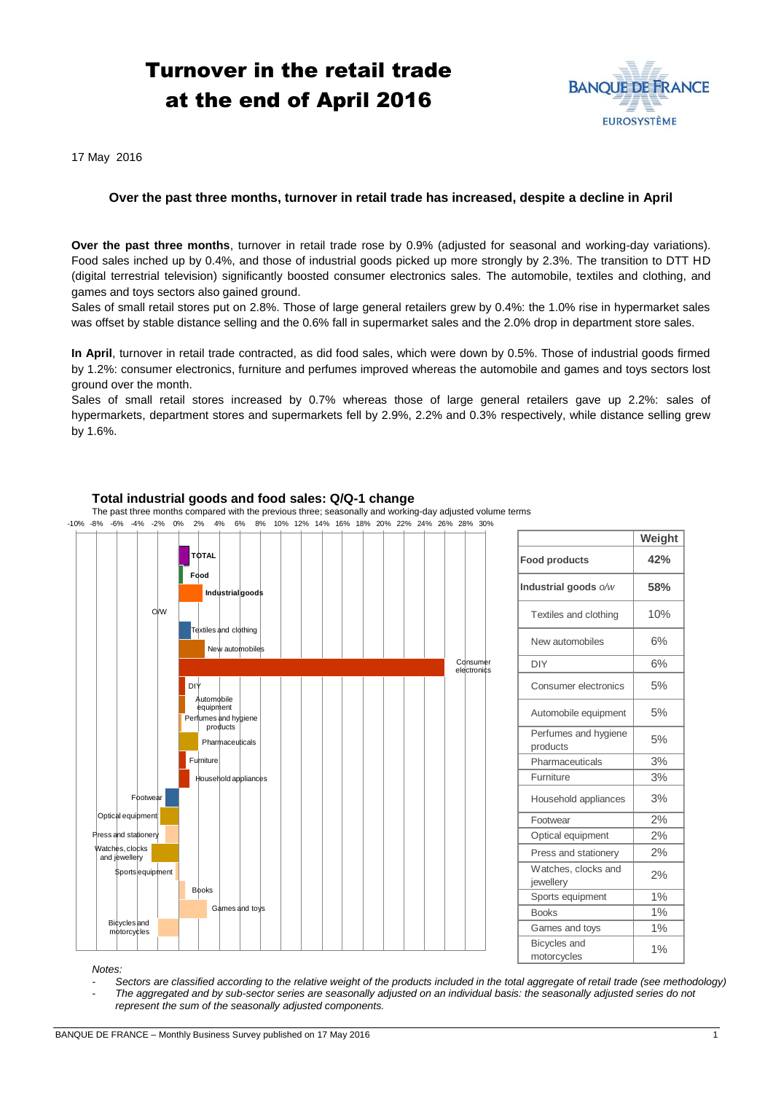# Turnover in the retail trade at the end of April 2016



**Weight**

17 May 2016

## **Over the past three months, turnover in retail trade has increased, despite a decline in April**

**Over the past three months**, turnover in retail trade rose by 0.9% (adjusted for seasonal and working-day variations). Food sales inched up by 0.4%, and those of industrial goods picked up more strongly by 2.3%. The transition to DTT HD (digital terrestrial television) significantly boosted consumer electronics sales. The automobile, textiles and clothing, and games and toys sectors also gained ground.

Sales of small retail stores put on 2.8%. Those of large general retailers grew by 0.4%: the 1.0% rise in hypermarket sales was offset by stable distance selling and the 0.6% fall in supermarket sales and the 2.0% drop in department store sales.

**In April**, turnover in retail trade contracted, as did food sales, which were down by 0.5%. Those of industrial goods firmed by 1.2%: consumer electronics, furniture and perfumes improved whereas the automobile and games and toys sectors lost ground over the month.

Sales of small retail stores increased by 0.7% whereas those of large general retailers gave up 2.2%: sales of hypermarkets, department stores and supermarkets fell by 2.9%, 2.2% and 0.3% respectively, while distance selling grew by 1.6%.

#### **Total industrial goods and food sales: Q/Q-1 change** The past three months compared with the previous three; seasonally and working-day adjusted volume terms **TOTAL Food Industrial goods** O/W and clothing New automobile  $Comsum$ electron DI. bbile equipment erfumes and hygical<br>products ucts Ph: Furniture Household appliances Footwear Optical equ and statio Watches, clocks and jewellery **Sports equipment** Books mes and toys Bicycles and motorcycles -10% -8% -6% -4% -2% 0% 2% 4% 6% 8% 10% 12% 14% 16% 18% 20% 22% 24% 26% 28% 30% **Food products 42% Industrial goods** *o/w* **58%** Textiles and clothing | 10% New automobiles 6%  $DY$  6% Consumer electronics 5% Automobile equipment | 5% Perfumes and hygiene 5%<br>products Pharmaceuticals | 3% Furniture 3% Household appliances | 3% Footwear 2% Optical equipment 2% Press and stationery 2% Watches, clocks and <br>jewellery 2% Sports equipment | 1% Books | 1% Games and toys 1% Bicycles and motorcycles 1% *Notes:*

### *- Sectors are classified according to the relative weight of the products included in the total aggregate of retail trade (see methodology) - The aggregated and by sub-sector series are seasonally adjusted on an individual basis: the seasonally adjusted series do not represent the sum of the seasonally adjusted components.*